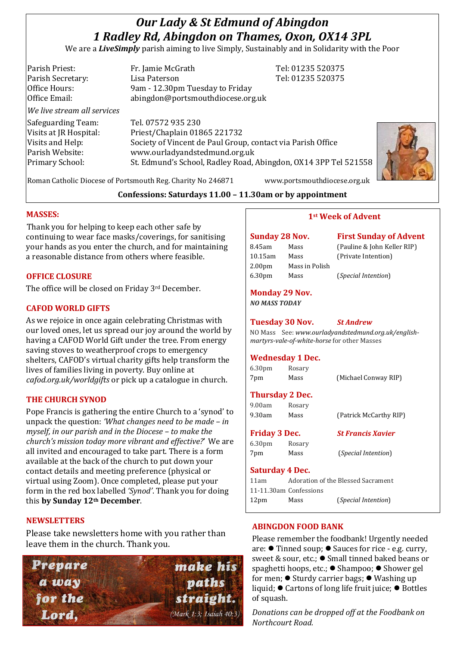# *Our Lady & St Edmund of Abingdon 1 Radley Rd, Abingdon on Thames, Oxon, OX14 3PL*

We are a *LiveSimply* parish aiming to live Simply, Sustainably and in Solidarity with the Poor

| Parish Priest:              | Fr. Jamie McGrath                                               | Tel: 01235 520375 |
|-----------------------------|-----------------------------------------------------------------|-------------------|
| Parish Secretary:           | Lisa Paterson                                                   | Tel: 01235 520375 |
| Office Hours:               | 9am - 12.30pm Tuesday to Friday                                 |                   |
| Office Email:               | abingdon@portsmouthdiocese.org.uk                               |                   |
| We live stream all services |                                                                 |                   |
| Safeguarding Team:          | Tel. 07572 935 230                                              |                   |
| Visits at JR Hospital:      | Priest/Chaplain 01865 221732                                    |                   |
| Visits and Help:            | Society of Vincent de Paul Group, contact via Parish Office     |                   |
| Parish Website:             | www.ourladyandstedmund.org.uk                                   |                   |
| Primary School:             | St. Edmund's School, Radley Road, Abingdon, OX14 3PP Tel 521558 |                   |
|                             |                                                                 |                   |



Roman Catholic Diocese of Portsmouth Reg. Charity No 246871 www.portsmouthdiocese.org.uk

# **Confessions: Saturdays 11.00 – 11.30am or by appointment**

# **MASSES:**

Thank you for helping to keep each other safe by continuing to wear face masks/coverings, for sanitising your hands as you enter the church, and for maintaining a reasonable distance from others where feasible.

## **OFFICE CLOSURE**

The office will be closed on Friday 3rd December.

# **CAFOD WORLD GIFTS**

As we rejoice in once again celebrating Christmas with our loved ones, let us spread our joy around the world by having a CAFOD World Gift under the tree. From energy saving stoves to weatherproof crops to emergency shelters, CAFOD's virtual charity gifts help transform the lives of families living in poverty. Buy online at *cafod.org.uk/worldgifts* or pick up a catalogue in church.

## **THE CHURCH SYNOD**

Pope Francis is gathering the entire Church to a 'synod' to unpack the question: *'What changes need to be made – in myself, in our parish and in the Diocese – to make the church's mission today more vibrant and effective?*' We are all invited and encouraged to take part. There is a form available at the back of the church to put down your contact details and meeting preference (physical or virtual using Zoom). Once completed, please put your form in the red box labelled *'Synod'*. Thank you for doing this **by Sunday 12th December**.

#### **NEWSLETTERS**

Please take newsletters home with you rather than leave them in the church. Thank you.



#### **1st Week of Advent**

| <b>Sunday 28 Nov.</b> |                |  |  |  |
|-----------------------|----------------|--|--|--|
| 8.45am                | Mass           |  |  |  |
| 10.15am               | Mass           |  |  |  |
| 2.00 <sub>pm</sub>    | Mass in Polish |  |  |  |
| 6.30pm                | Mass           |  |  |  |

**First Sunday of Advent** (Pauline & John Keller RIP) (Private Intention)

6.30pm Mass (*Special Intention*)

## **Monday 29 Nov.**

*NO MASS TODAY*

#### **Tuesday 30 Nov.** *St Andrew*

NO Mass See: *www.ourladyandstedmund.org.uk/englishmartyrs-vale-of-white-horse* for other Masses

#### **Wednesday 1 Dec.**

| 6.30 <sub>pm</sub> | Rosary |                      |
|--------------------|--------|----------------------|
| 7pm                | Mass   | (Michael Conway RIP) |

## **Thursday 2 Dec.**

| 9.00am | Rosary |                        |
|--------|--------|------------------------|
| 9.30am | Mass   | (Patrick McCarthy RIP) |

# **Friday 3 Dec.** *St Francis Xavier*

6.30pm Rosary 7pm Mass (*Special Intention*)

#### **Saturday 4 Dec.**

| 11am                   |      | Adoration of the Blessed Sacrament |
|------------------------|------|------------------------------------|
| 11-11.30am Confessions |      |                                    |
| 12 <sub>pm</sub>       | Mass | ( <i>Special Intention</i> )       |

# **ABINGDON FOOD BANK**

Please remember the foodbank! Urgently needed are: ⚫ Tinned soup; ⚫ Sauces for rice - e.g. curry, sweet & sour, etc.; ● Small tinned baked beans or spaghetti hoops, etc.; ⚫ Shampoo; ⚫ Shower gel for men; ⚫ Sturdy carrier bags; ⚫ Washing up liquid; ⚫ Cartons of long life fruit juice; ⚫ Bottles of squash.

*Donations can be dropped off at the Foodbank on Northcourt Road.*